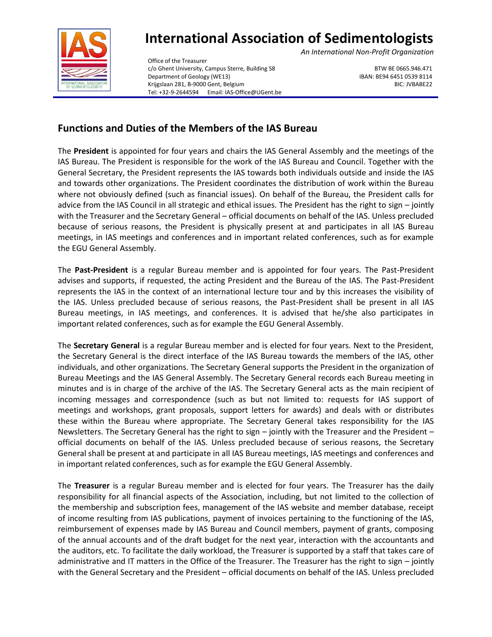

## **International Association of Sedimentologists**

*An International Non-Profit Organization*

Office of the Treasurer c/o Ghent University, Campus Sterre, Building S8 BTW BE 0665.946.471 Department of Geology (WE13) **IBAN: BE94 6451 0539 8114** Krijgslaan 281, B-9000 Gent, Belgium BIC: JVBABE22 BIC: JVBABE22 Tel: +32-9-2644594 Email: IAS-Office@UGent.be

## **Functions and Duties of the Members of the IAS Bureau**

The **President** is appointed for four years and chairs the IAS General Assembly and the meetings of the IAS Bureau. The President is responsible for the work of the IAS Bureau and Council. Together with the General Secretary, the President represents the IAS towards both individuals outside and inside the IAS and towards other organizations. The President coordinates the distribution of work within the Bureau where not obviously defined (such as financial issues). On behalf of the Bureau, the President calls for advice from the IAS Council in all strategic and ethical issues. The President has the right to sign – jointly with the Treasurer and the Secretary General – official documents on behalf of the IAS. Unless precluded because of serious reasons, the President is physically present at and participates in all IAS Bureau meetings, in IAS meetings and conferences and in important related conferences, such as for example the EGU General Assembly.

The **Past-President** is a regular Bureau member and is appointed for four years. The Past-President advises and supports, if requested, the acting President and the Bureau of the IAS. The Past-President represents the IAS in the context of an international lecture tour and by this increases the visibility of the IAS. Unless precluded because of serious reasons, the Past-President shall be present in all IAS Bureau meetings, in IAS meetings, and conferences. It is advised that he/she also participates in important related conferences, such as for example the EGU General Assembly.

The **Secretary General** is a regular Bureau member and is elected for four years. Next to the President, the Secretary General is the direct interface of the IAS Bureau towards the members of the IAS, other individuals, and other organizations. The Secretary General supports the President in the organization of Bureau Meetings and the IAS General Assembly. The Secretary General records each Bureau meeting in minutes and is in charge of the archive of the IAS. The Secretary General acts as the main recipient of incoming messages and correspondence (such as but not limited to: requests for IAS support of meetings and workshops, grant proposals, support letters for awards) and deals with or distributes these within the Bureau where appropriate. The Secretary General takes responsibility for the IAS Newsletters. The Secretary General has the right to sign – jointly with the Treasurer and the President – official documents on behalf of the IAS. Unless precluded because of serious reasons, the Secretary General shall be present at and participate in all IAS Bureau meetings, IAS meetings and conferences and in important related conferences, such as for example the EGU General Assembly.

The **Treasurer** is a regular Bureau member and is elected for four years. The Treasurer has the daily responsibility for all financial aspects of the Association, including, but not limited to the collection of the membership and subscription fees, management of the IAS website and member database, receipt of income resulting from IAS publications, payment of invoices pertaining to the functioning of the IAS, reimbursement of expenses made by IAS Bureau and Council members, payment of grants, composing of the annual accounts and of the draft budget for the next year, interaction with the accountants and the auditors, etc. To facilitate the daily workload, the Treasurer is supported by a staff that takes care of administrative and IT matters in the Office of the Treasurer. The Treasurer has the right to sign – jointly with the General Secretary and the President – official documents on behalf of the IAS. Unless precluded